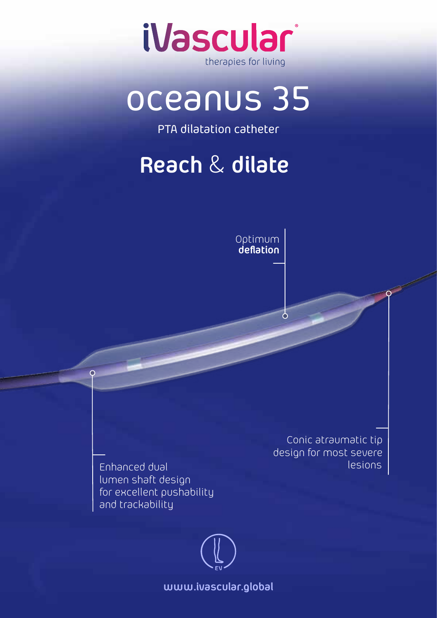

# oceanus 35

PTA dilatation catheter

### **Reach** & **dilate**



 $\delta$ 

Enhanced dual lumen shaft design for excellent pushability and trackability

 $\overline{O}$ 

Conic atraumatic tip design for most severe lesions

**www.ivascular.global**